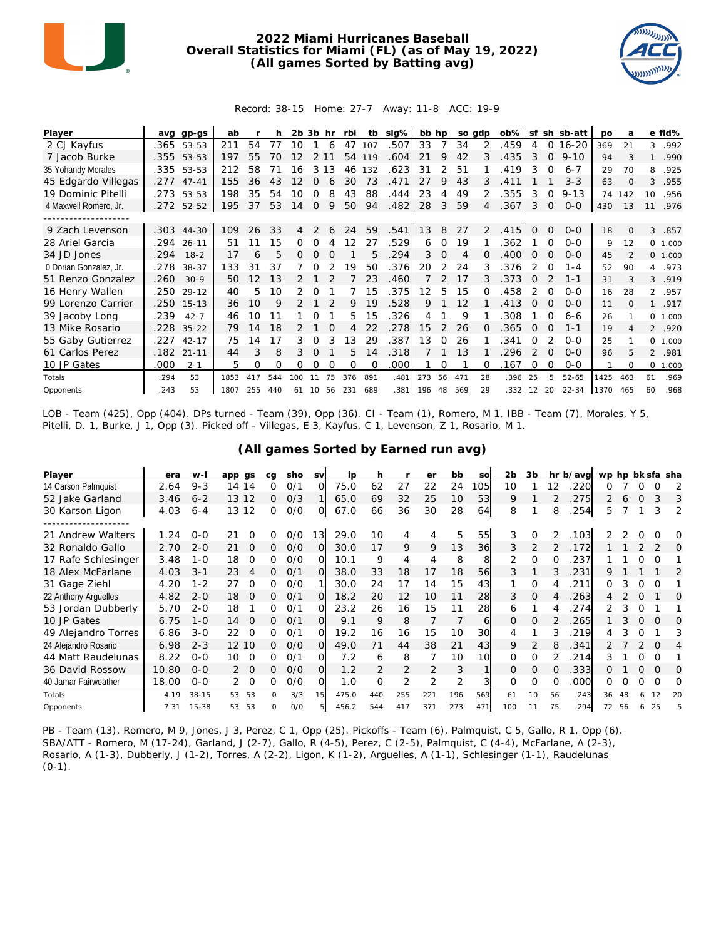

## **2022 Miami Hurricanes Baseball Overall Statistics for Miami (FL) (as of May 19, 2022) (All games Sorted by Batting avg)**



## Record: 38-15 Home: 27-7 Away: 11-8 ACC: 19-9

| Player                 | ava  | gp-gs      | ab   |     |     | 2b 3b |               | hr       | rbi | tb       | $slq\%$ | bb hp |               | so gdp |          | ob%  | sf            |          | sh sb-att | <b>DO</b> | a        |                 | e fld%   |
|------------------------|------|------------|------|-----|-----|-------|---------------|----------|-----|----------|---------|-------|---------------|--------|----------|------|---------------|----------|-----------|-----------|----------|-----------------|----------|
| 2 CJ Kayfus            |      | .365 53-53 | 211  | 54  | 77  | 10    |               | 6        | 47  | 107      | .507    | 33    |               | 34     |          | .459 | 4             | 0        | $16 - 20$ | 369       | 21       | 3               | .992     |
| 7 Jacob Burke          |      | .355 53-53 | 197  | 55  | 70  |       |               |          | 54  | 119      | .604    | 21    | 9             | 42     | 3        | .435 | 3             | $\Omega$ | $9 - 10$  | 94        | 3        |                 | .990     |
| 35 Yohandy Morales     | .335 | 53-53      | 212  | 58  |     | 16    | 3             | 13       | 46  | 132      | .623    | 31    |               | 51     |          | .419 | 3             | $\Omega$ | $6 - 7$   | 29        | 70       | 8               | .925     |
| 45 Edgardo Villegas    | .277 | $47 - 41$  | 155  | 36  | 43  | 12    | 0             | 6        | 30  | 73       | .471    | 27    | 9             | 43     | 3        | .411 |               |          | $3 - 3$   | 63        | $\Omega$ | 3               | .955     |
| 19 Dominic Pitelli     | .273 | 53-53      | 198  | 35  | 54  | 10    |               |          | 43  | 88       | .444    | 23    | 4             | 49     | 2        | .355 | 3             | O        | $9 - 13$  | 74        | 142      | 10 <sup>1</sup> | .956     |
| 4 Maxwell Romero, Jr.  |      | .272 52-52 | 195  | 37  | 53  | 14    | $\Omega$      | 9        | 50  | 94       | .482    | 28    | 3             | 59     | 4        | .367 | 3             | 0        | $0 - 0$   | 430       | 13       | 11              | .976     |
|                        |      |            |      |     |     |       |               |          |     |          |         |       |               |        |          |      |               |          |           |           |          |                 |          |
| 9 Zach Levenson        |      | .303 44-30 | 109  | 26  | 33  | 4     | $\mathcal{P}$ | 6        | 24  | 59       | .541    | 13    | 8             | 27     | 2        | .415 | 0             | $\Omega$ | $0 - 0$   | 18        | $\Omega$ | 3               | .857     |
| 28 Ariel Garcia        | .294 | $26 - 11$  | 51   |     | 15  | 0     |               |          | 12  | 27       | .529    | 6     | $\Omega$      | 19     |          | 362  |               | $\Omega$ | $0 - 0$   | 9         | 12       |                 | 0 1.000  |
| 34 JD Jones            | .294 | $18 - 2$   | 17   | 6   | 5   | 0     | $\Omega$      | $\Omega$ |     | 5        | .294    | 3     | $\Omega$      | 4      | $\Omega$ | .400 | $\Omega$      | $\Omega$ | $0 - 0$   | 45        |          |                 | 0 1.000  |
| 0 Dorian Gonzalez, Jr. | .278 | $38 - 37$  | 133  | 31  | 37  |       |               |          | 19  | 50       | .376    | 20    | 2             | 24     |          | .376 | $\mathcal{P}$ | $\Omega$ | $1 - 4$   | 52        | 90       | 4               | .973     |
| 51 Renzo Gonzalez      | .260 | $30-9$     | 50   | 12  | 1.3 |       |               |          |     | 23       | .460    |       |               | 17     | 3        | .373 | 0             |          | $1 - 1$   | 31        | 3        | 3               | .919     |
| 16 Henry Wallen        | .250 | $29 - 12$  | 40   | 5   | 10  |       | Ω             |          |     | 15       | .375    | 12    | 5             | 15     |          | .458 | 2             | 0        | $0 - 0$   | 16        | 28       | $\overline{2}$  | .957     |
| 99 Lorenzo Carrier     | .250 | $15 - 13$  | 36   | 10  | 9   |       |               |          | 9   | 19       | .528    | 9     |               | 12     |          | .413 | 0             | O        | $0 - 0$   | 11        | $\Omega$ | $\mathbf{1}$    | .917     |
| 39 Jacoby Long         | .239 | $42 - 7$   | 46   | 10  | 11  |       |               |          | 5.  | 15       | .326    | 4     |               | 9      |          | 308  |               | $\Omega$ | $6 - 6$   | 26        |          |                 | 0 1.000  |
| 13 Mike Rosario        | .228 | $35 - 22$  | 79   | 14  | 18  |       |               | $\Omega$ | 4   | 22       | .278    | 15    | $\mathcal{P}$ | 26     | $\Omega$ | .365 | $\Omega$      | $\Omega$ | $1 - 1$   | 19        | 4        |                 | 2 .920   |
| 55 Gaby Gutierrez      | .227 | $42 - 17$  | 75   | 4   |     | 3     |               |          | 13  | 29       | .387    | 13    | 0             | 26     |          | 341  | 0             |          | $0 - 0$   | 25        |          |                 | 0 1.000  |
| 61 Carlos Perez        | .182 | $21 - 11$  | 44   | 3   | 8   | 3     |               |          | 5   | 14       | .318    |       |               | 13     |          | 296  |               | $\Omega$ | $O - O$   | 96        | 5        | $\overline{2}$  | .981     |
| 10 JP Gates            | .000 | $2 - 1$    | 5    | 0   | Ω   | Ω     | 0             | O        | 0   | $\Omega$ | .000    |       | Ω             |        | O        | .167 | 0             | $\Omega$ | $0 - 0$   |           | $\Omega$ |                 | 0, 1,000 |
| Totals                 | .294 | 53         | 1853 | 417 | 544 | 100   |               | 75       | 376 | 891      | .481    | 273   | 56            | 471    | 28       | .396 | 25            | 5        | $52 - 65$ | 1425      | 463      | 61              | .969     |
| Opponents              | .243 | 53         | 1807 | 255 | 440 | 61    | 10            | 56       | 231 | 689      | .381    | 196   | 48            | 569    | 29       | .332 | 12            | 20       | $22 - 34$ | 1370      | 465      | 60              | .968     |

LOB - Team (425), Opp (404). DPs turned - Team (39), Opp (36). CI - Team (1), Romero, M 1. IBB - Team (7), Morales, Y 5, Pitelli, D. 1, Burke, J 1, Opp (3). Picked off - Villegas, E 3, Kayfus, C 1, Levenson, Z 1, Rosario, M 1.

| Player               | era   | w-l       | app gs         | cq       | sho | <b>SV</b> | ip    | h             |                | er            | bb  | so    | 2 <sub>b</sub> | 3b            |    | hr b/avg | wp hp bk sfa sha |    |          |          |                |
|----------------------|-------|-----------|----------------|----------|-----|-----------|-------|---------------|----------------|---------------|-----|-------|----------------|---------------|----|----------|------------------|----|----------|----------|----------------|
| 14 Carson Palmquist  | 2.64  | $9 - 3$   | 14<br>14       | 0        | 0/1 | O         | 75.0  | 62            | 27             | 22            | 24  | I 05l | 10             |               | 12 | 220      | Ω                |    |          |          |                |
| 52 Jake Garland      | 3.46  | $6 - 2$   | 13 12          | 0        | O/3 |           | 65.0  | 69            | 32             | 25            | 10  | 53    | 9              |               |    | 275      | 2                | 6  | $\Omega$ | 3        | 3              |
| 30 Karson Ligon      | 4.03  | $6 - 4$   | 12<br>13       | 0        | O/O | O         | 67.0  | 66            | 36             | 30            | 28  | 64    | 8              |               | 8  | .254     | 5.               |    |          | 3        | $\overline{2}$ |
|                      |       |           |                |          |     |           |       |               |                |               |     |       |                |               |    |          |                  |    |          |          |                |
| 21 Andrew Walters    | 1.24  | $O-O$     | 21<br>$\Omega$ | 0        | O/O | 13        | 29.0  | 10            | 4              | 4             | 5   | 55    | 3              | $\Omega$      | 2  | .103     |                  |    |          |          | 0              |
| 32 Ronaldo Gallo     | 2.70  | $2 - 0$   | 21<br>0        | 0        | O/O | Ω         | 30.0  | 17            | 9              | 9             | 13  | 36    | 3              | 2             |    | 172      |                  |    |          |          | $\bigcap$      |
| 17 Rafe Schlesinger  | 3.48  | $1 - 0$   | 18<br>$\Omega$ | 0        | O/O | $\Omega$  | 10.1  | 9             | 4              | 4             | 8   | 8     |                | 0             |    | 237      |                  |    |          |          |                |
| 18 Alex McFarlane    | 4.03  | $3 - 1$   | 23<br>4        | 0        | 0/1 | $\Omega$  | 38.0  | 33            | 18             | 17            | 18  | 56    | 3              |               | 3  | .231     | 9                |    |          |          | 2              |
| 31 Gage Ziehl        | 4.20  | $1 - 2$   | 27<br>$\Omega$ | 0        | 0/0 |           | 30.0  | 24            | 17             | 14            | 15  | 43    |                | $\Omega$      |    | 211      | 0                |    |          |          |                |
| 22 Anthony Arguelles | 4.82  | $2 - 0$   | 18<br>$\Omega$ | 0        | 0/1 | $\Omega$  | 18.2  | 20            | 12             | 10            | 11  | 28    | 3              | $\Omega$      | 4  | 263      |                  |    |          |          | Ω              |
| 53 Jordan Dubberly   | 5.70  | $2 - 0$   | 18             | 0        | 0/1 | Ω         | 23.2  | 26            | 16             | 15            | 11  | 28    | 6              |               | 4  | .274     |                  |    |          |          |                |
| 10 JP Gates          | 6.75  | $1 - 0$   | 14<br>$\Omega$ | 0        | O/1 | $\Omega$  | 9.1   | 9             | 8              |               |     | 6     | $\Omega$       | $\Omega$      |    | 265      |                  |    | $\Omega$ | $\Omega$ | Ω              |
| 49 Alejandro Torres  | 6.86  | $3 - 0$   | 22<br>O        | 0        | 0/1 | Ω         | 19.2  | 16            | 16             | 15            | 10  | 30    | 4              |               |    | 219      |                  |    |          |          | 3              |
| 24 Alejandro Rosario | 6.98  | $2 - 3$   | 12 10          | 0        | O/O | $\Omega$  | 49.0  | 71            | 44             | 38            | 21  | 43    | 9              | $\mathcal{P}$ | 8  | .341     |                  |    |          | $\Omega$ |                |
| 44 Matt Raudelunas   | 8.22  | $O - O$   | 10<br>$\Omega$ | Ω        | 0/1 | Ω         | 7.2   | 6             | 8              |               | 10  | 10    | 0              |               |    | 214      |                  |    |          |          |                |
| 36 David Rossow      | 10.80 | $0 - 0$   | $\Omega$<br>2  | 0        | O/O | $\Omega$  | 1.2   | $\mathcal{P}$ | $\overline{2}$ | $\mathcal{P}$ | 3   |       | $\Omega$       | 0             | 0  | 333      | 0                |    | $\Omega$ | $\Omega$ | O              |
| 40 Jamar Fairweather | 18.00 | $0 - 0$   | $\Omega$       | 0        | O/O | Ω         | 1.0   | O             | 2              |               |     |       | 0              | 0             | 0  | .000     | Ω                | Ω  | $\Omega$ | $\Omega$ | Ω              |
| Totals               | 4.19  | $38 - 15$ | 53<br>53       | $\Omega$ | 3/3 | 15        | 475.0 | 440           | 255            | 221           | 196 | 569   | 61             | 10            | 56 | .243     | 36               | 48 | 6        | 12       | 20             |
| Opponents            | 7.31  | $15 - 38$ | 53<br>53       | $\Omega$ | O/O |           | 456.2 | 544           | 417            | 371           | 273 | 471   | 100            | 11            | 75 | 294      | 72               | 56 | 6        | 25       |                |

**(All games Sorted by Earned run avg)**

PB - Team (13), Romero, M 9, Jones, J 3, Perez, C 1, Opp (25). Pickoffs - Team (6), Palmquist, C 5, Gallo, R 1, Opp (6). SBA/ATT - Romero, M (17-24), Garland, J (2-7), Gallo, R (4-5), Perez, C (2-5), Palmquist, C (4-4), McFarlane, A (2-3), Rosario, A (1-3), Dubberly, J (1-2), Torres, A (2-2), Ligon, K (1-2), Arguelles, A (1-1), Schlesinger (1-1), Raudelunas  $(0-1)$ .